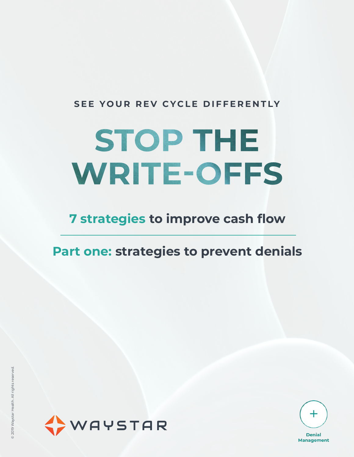### **SEE YOUR REV CYCLE DIFFERENTLY**

# **STOP THE WRITE-OFFS**

# **7 strategies to improve cash flow**

### **Part one: strategies to prevent denials**



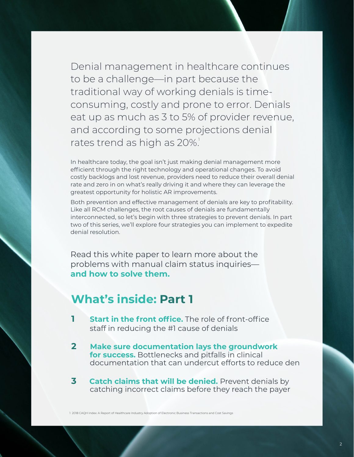Denial management in healthcare continues to be a challenge—in part because the traditional way of working denials is timeconsuming, costly and prone to error. Denials eat up as much as 3 to 5% of provider revenue, and according to some projections denial rates trend as high as 20%.

In healthcare today, the goal isn't just making denial management more efficient through the right technology and operational changes. To avoid costly backlogs and lost revenue, providers need to reduce their overall denial rate and zero in on what's really driving it and where they can leverage the greatest opportunity for holistic AR improvements.

Both prevention and effective management of denials are key to profitability. Like all RCM challenges, the root causes of denials are fundamentally interconnected, so let's begin with three strategies to prevent denials. In part two of this series, we'll explore four strategies you can implement to expedite denial resolution.

Read this white paper to learn more about the problems with manual claim status inquiries **and how to solve them.**

### **What's inside: Part 1**

- **1 Start in the front office.** The role of front-office staff in reducing the #1 cause of denials
- **2 Make sure documentation lays the groundwork for success.** Bottlenecks and pitfalls in clinical documentation that can undercut efforts to reduce den
- **3 Catch claims that will be denied.** Prevent denials by catching incorrect claims before they reach the payer

1 2018 CAQH Index: A Report of Healthcare Industry Adoption of Electronic Business Transactions and Cost Savings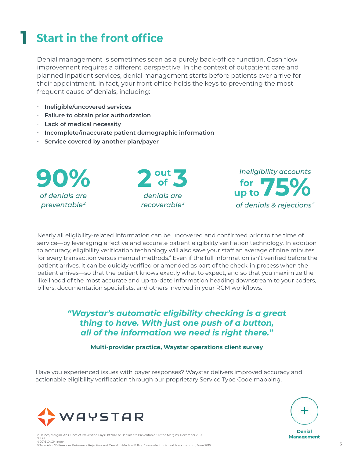# **1 Start in the front office**

Denial management is sometimes seen as a purely back-office function. Cash flow improvement requires a different perspective. In the context of outpatient care and planned inpatient services, denial management starts before patients ever arrive for their appointment. In fact, your front office holds the keys to preventing the most frequent cause of denials, including:

- **∙ Ineligible/uncovered services**
- **∙ Failure to obtain prior authorization**
- **∙ Lack of medical necessity**
- **∙ Incomplete/inaccurate patient demographic information**
- **∙ Service covered by another plan/payer**

*of denials are preventable2*





Nearly all eligibility-related information can be uncovered and confirmed prior to the time of service—by leveraging effective and accurate patient eligibility verifiation technology. In addition to accuracy, eligibility verification technology will also save your staff an average of nine minutes for every transaction versus manual methods." Even if the full information isn't verified before the patient arrives, it can be quickly verified or amended as part of the check-in process when the patient arrives—so that the patient knows exactly what to expect, and so that you maximize the likelihood of the most accurate and up-to-date information heading downstream to your coders, billers, documentation specialists, and others involved in your RCM workflows.

### *"Waystar's automatic eligibility checking is a great thing to have. With just one push of a button, all of the information we need is right there."*

**Multi-provider practice, Waystar operations client survey**

Have you experienced issues with payer responses? Waystar delivers improved accuracy and actionable eligibility verification through our proprietary Service Type Code mapping.





**Denial Management** 

2 Haines, Morgan. An Ounce of Prevention Pays Off: 90% of Denials are Preventable." At the Margins, December 2014.

3 ibid.<br>4 2016 CAQH Index<br>5 Tate, Alex. "Differences Between a Rejection and Denial in Medical Billing." www.electronichealthreporter.com, June 2015.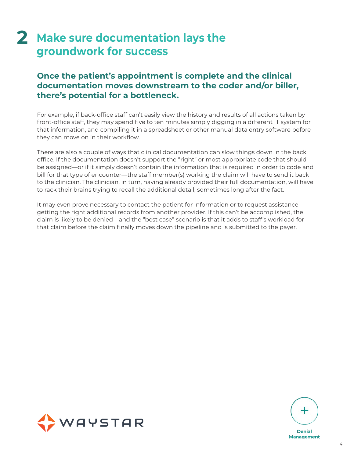## 2 Make sure documentation lays the **groundwork for success**

### **Once the patient's appointment is complete and the clinical documentation moves downstream to the coder and/or biller, there's potential for a bottleneck.**

For example, if back-office staff can't easily view the history and results of all actions taken by front-office staff, they may spend five to ten minutes simply digging in a different IT system for that information, and compiling it in a spreadsheet or other manual data entry software before they can move on in their workflow.

There are also a couple of ways that clinical documentation can slow things down in the back office. If the documentation doesn't support the "right" or most appropriate code that should be assigned—or if it simply doesn't contain the information that is required in order to code and bill for that type of encounter—the staff member(s) working the claim will have to send it back to the clinician. The clinician, in turn, having already provided their full documentation, will have to rack their brains trying to recall the additional detail, sometimes long after the fact.

It may even prove necessary to contact the patient for information or to request assistance getting the right additional records from another provider. If this can't be accomplished, the claim is likely to be denied—and the "best case" scenario is that it adds to staff's workload for that claim before the claim finally moves down the pipeline and is submitted to the payer.



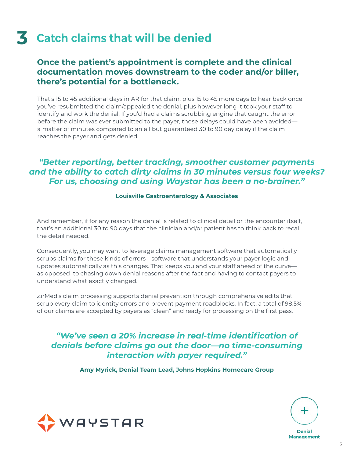# **3 Catch claims that will be denied**

### **Once the patient's appointment is complete and the clinical documentation moves downstream to the coder and/or biller, there's potential for a bottleneck.**

That's 15 to 45 additional days in AR for that claim, plus 15 to 45 more days to hear back once you've resubmitted the claim/appealed the denial, plus however long it took your staff to identify and work the denial. If you'd had a claims scrubbing engine that caught the error before the claim was ever submitted to the payer, those delays could have been avoided a matter of minutes compared to an all but guaranteed 30 to 90 day delay if the claim reaches the payer and gets denied.

### *"Better reporting, better tracking, smoother customer payments and the ability to catch dirty claims in 30 minutes versus four weeks? For us, choosing and using Waystar has been a no-brainer."*

#### **Louisville Gastroenterology & Associates**

And remember, if for any reason the denial is related to clinical detail or the encounter itself, that's an additional 30 to 90 days that the clinician and/or patient has to think back to recall the detail needed.

Consequently, you may want to leverage claims management software that automatically scrubs claims for these kinds of errors—software that understands your payer logic and updates automatically as this changes. That keeps you and your staff ahead of the curve as opposed to chasing down denial reasons after the fact and having to contact payers to understand what exactly changed.

ZirMed's claim processing supports denial prevention through comprehensive edits that scrub every claim to identity errors and prevent payment roadblocks. In fact, a total of 98.5% of our claims are accepted by payers as "clean" and ready for processing on the first pass.

### *"We've seen a 20% increase in real-time identification of denials before claims go out the door—no time-consuming interaction with payer required."*

**Amy Myrick, Denial Team Lead, Johns Hopkins Homecare Group**



**Denial Management**